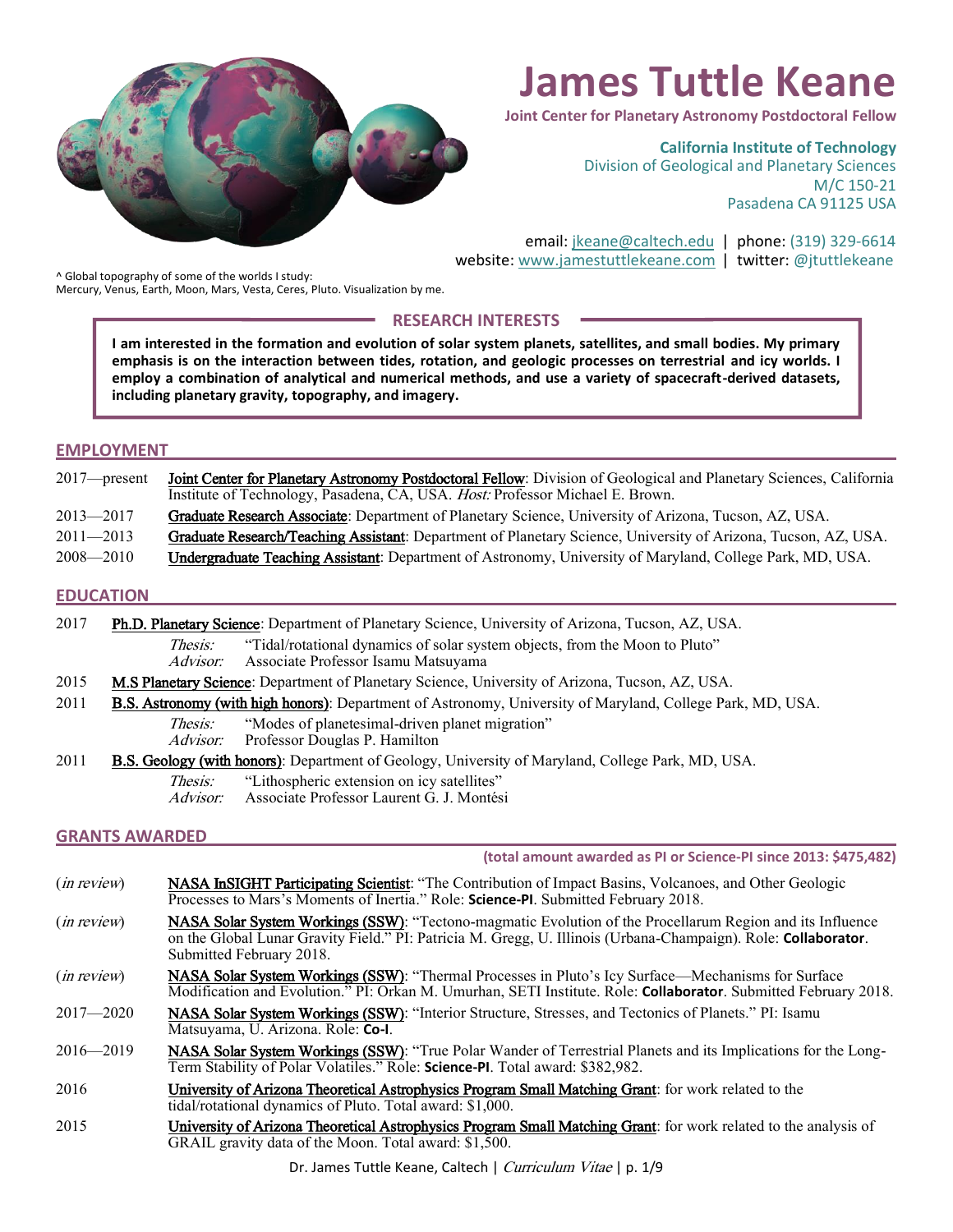

# **James Tuttle Keane**

**Joint Center for Planetary Astronomy Postdoctoral Fellow**

**California Institute of Technology**

Division of Geological and Planetary Sciences M/C 150-21 Pasadena CA 91125 USA

email: [jkeane@caltech.edu](mailto:jkeane@caltech.edu) | phone: (319) 329-6614 website: [www.jamestuttlekeane.com](http://www.jamestuttlekeane.com/) | twitter: @jtuttlekeane

^ Global topography of some of the worlds I study: Mercury, Venus, Earth, Moon, Mars, Vesta, Ceres, Pluto. Visualization by me.

# **RESEARCH INTERESTS**

**I am interested in the formation and evolution of solar system planets, satellites, and small bodies. My primary emphasis is on the interaction between tides, rotation, and geologic processes on terrestrial and icy worlds. I employ a combination of analytical and numerical methods, and use a variety of spacecraft-derived datasets, including planetary gravity, topography, and imagery.**

#### **EMPLOYMENT**

| $2017$ —present | Joint Center for Planetary Astronomy Postdoctoral Fellow: Division of Geological and Planetary Sciences, California<br>Institute of Technology, Pasadena, CA, USA. <i>Host:</i> Professor Michael E. Brown. |
|-----------------|-------------------------------------------------------------------------------------------------------------------------------------------------------------------------------------------------------------|
| 2013—2017       | Graduate Research Associate: Department of Planetary Science, University of Arizona, Tucson, AZ, USA.                                                                                                       |
| $2011 - 2013$   | Graduate Research/Teaching Assistant: Department of Planetary Science, University of Arizona, Tucson, AZ, USA.                                                                                              |

2008—2010 Undergraduate Teaching Assistant: Department of Astronomy, University of Maryland, College Park, MD, USA.

#### **EDUCATION**

| 2017 |                | Ph.D. Planetary Science: Department of Planetary Science, University of Arizona, Tucson, AZ, USA. |  |
|------|----------------|---------------------------------------------------------------------------------------------------|--|
|      | <i>Thesis:</i> | "Tidal/rotational dynamics of solar system objects, from the Moon to Pluto"                       |  |

- Advisor: Associate Professor Isamu Matsuyama
- 2015 M.S Planetary Science: Department of Planetary Science, University of Arizona, Tucson, AZ, USA.
- 2011 B.S. Astronomy (with high honors): Department of Astronomy, University of Maryland, College Park, MD, USA.
	- Thesis: "Modes of planetesimal-driven planet migration"
	- Advisor: Professor Douglas P. Hamilton

| 2011 | <b>B.S. Geology (with honors)</b> : Department of Geology, University of Maryland, College Park, MD, USA. |  |  |  |
|------|-----------------------------------------------------------------------------------------------------------|--|--|--|
|------|-----------------------------------------------------------------------------------------------------------|--|--|--|

- Thesis: "Lithospheric extension on icy satellites"
- Advisor: Associate Professor Laurent G. J. Montési

# **GRANTS AWARDED**

**(total amount awarded as PI or Science-PI since 2013: \$475,482)**

- (*in review*) NASA InSIGHT Participating Scientist: "The Contribution of Impact Basins, Volcanoes, and Other Geologic Processes to Mars's Moments of Inertia." Role: **Science-PI**. Submitted February 2018.
- (*in review*) NASA Solar System Workings (SSW): "Tectono-magmatic Evolution of the Procellarum Region and its Influence on the Global Lunar Gravity Field." PI: Patricia M. Gregg, U. Illinois (Urbana-Champaign). Role: **Collaborator**. Submitted February 2018.
- (in review) NASA Solar System Workings (SSW): "Thermal Processes in Pluto's Icy Surface—Mechanisms for Surface Modification and Evolution." PI: Orkan M. Umurhan, SETI Institute. Role: **Collaborator**. Submitted February 2018.
- 2017—2020 NASA Solar System Workings (SSW): "Interior Structure, Stresses, and Tectonics of Planets." PI: Isamu Matsuyama, U. Arizona. Role: **Co-I**.
- 2016—2019 NASA Solar System Workings (SSW): "True Polar Wander of Terrestrial Planets and its Implications for the Long-Term Stability of Polar Volatiles." Role: **Science-PI**. Total award: \$382,982.
- 2016 University of Arizona Theoretical Astrophysics Program Small Matching Grant: for work related to the tidal/rotational dynamics of Pluto. Total award: \$1,000.
- 2015 **University of Arizona Theoretical Astrophysics Program Small Matching Grant**: for work related to the analysis of GRAIL gravity data of the Moon. Total award: \$1,500.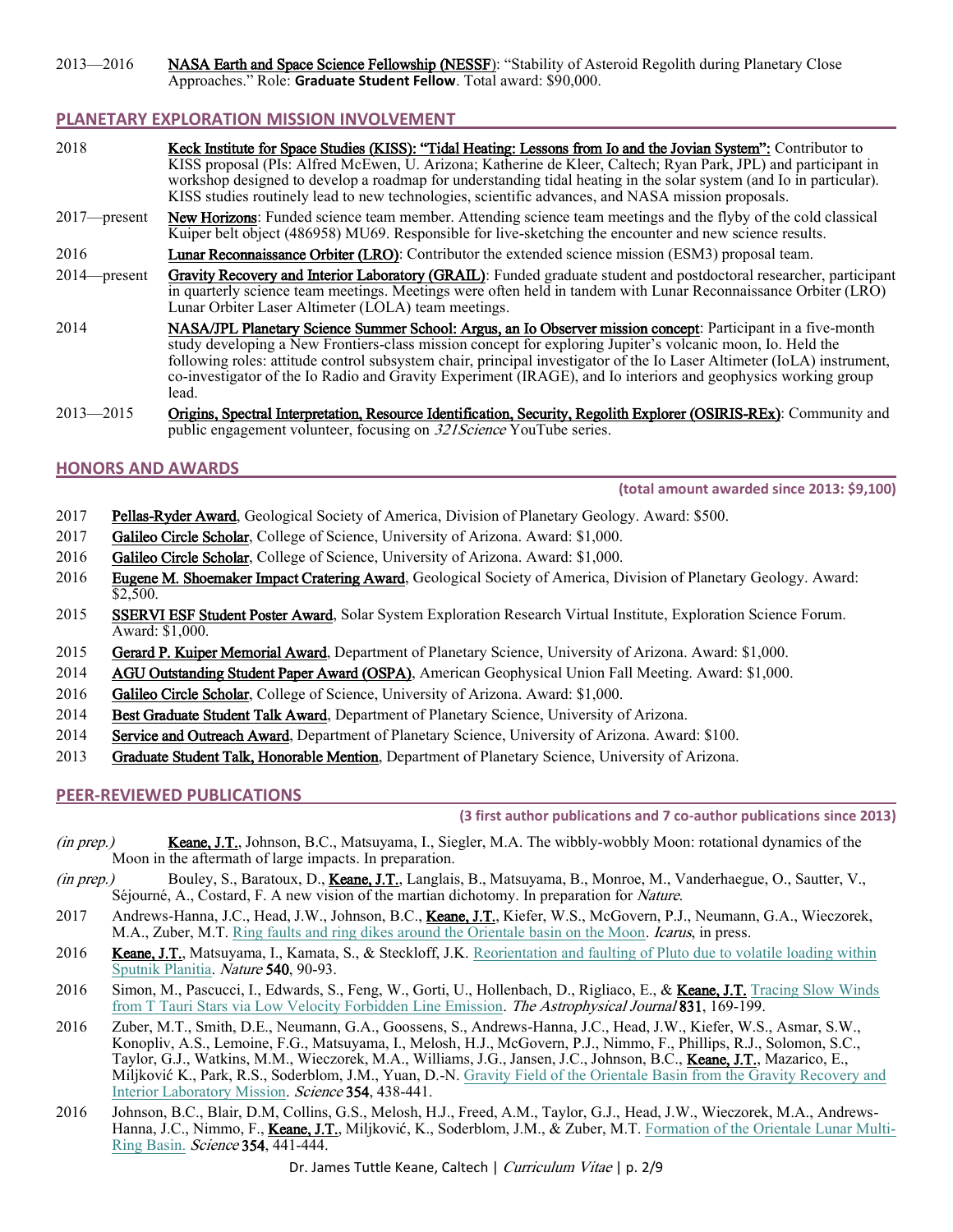2013—2016 NASA Earth and Space Science Fellowship (NESSF): "Stability of Asteroid Regolith during Planetary Close Approaches." Role: **Graduate Student Fellow**. Total award: \$90,000.

# **PLANETARY EXPLORATION MISSION INVOLVEMENT**

| 2018            | Keck Institute for Space Studies (KISS): "Tidal Heating: Lessons from Io and the Jovian System": Contributor to<br>KISS proposal (PIs: Alfred McEwen, U. Arizona; Katherine de Kleer, Caltech; Ryan Park, JPL) and participant in<br>workshop designed to develop a roadmap for understanding tidal heating in the solar system (and Io in particular).<br>KISS studies routinely lead to new technologies, scientific advances, and NASA mission proposals.                   |
|-----------------|--------------------------------------------------------------------------------------------------------------------------------------------------------------------------------------------------------------------------------------------------------------------------------------------------------------------------------------------------------------------------------------------------------------------------------------------------------------------------------|
| $2017$ —present | New Horizons: Funded science team member. Attending science team meetings and the flyby of the cold classical<br>Kuiper belt object (486958) MU69. Responsible for live-sketching the encounter and new science results.                                                                                                                                                                                                                                                       |
| 2016            | Lunar Reconnaissance Orbiter (LRO): Contributor the extended science mission (ESM3) proposal team.                                                                                                                                                                                                                                                                                                                                                                             |
| $2014$ -present | Gravity Recovery and Interior Laboratory (GRAIL): Funded graduate student and postdoctoral researcher, participant<br>in quarterly science team meetings. Meetings were often held in tandem with Lunar Reconnaissance Orbiter (LRO)<br>Lunar Orbiter Laser Altimeter (LOLA) team meetings.                                                                                                                                                                                    |
| 2014            | NASA/JPL Planetary Science Summer School: Argus, an Io Observer mission concept: Participant in a five-month<br>study developing a New Frontiers-class mission concept for exploring Jupiter's volcanic moon, Io. Held the<br>following roles: attitude control subsystem chair, principal investigator of the Io Laser Altimeter (IoLA) instrument,<br>co-investigator of the Io Radio and Gravity Experiment (IRAGE), and Io interiors and geophysics working group<br>lead. |

2013—2015 Origins, Spectral Interpretation, Resource Identification, Security, Regolith Explorer (OSIRIS-REx): Community and public engagement volunteer, focusing on 321Science YouTube series.

# **HONORS AND AWARDS**

**(total amount awarded since 2013: \$9,100)**

- 2017 Pellas-Ryder Award, Geological Society of America, Division of Planetary Geology. Award: \$500.
- 2017 Galileo Circle Scholar, College of Science, University of Arizona. Award: \$1,000.
- 2016 Galileo Circle Scholar, College of Science, University of Arizona. Award: \$1,000.
- 2016 Eugene M. Shoemaker Impact Cratering Award, Geological Society of America, Division of Planetary Geology. Award: \$2,500.
- 2015 SSERVI ESF Student Poster Award, Solar System Exploration Research Virtual Institute, Exploration Science Forum. Award: \$1,000.
- 2015 Gerard P. Kuiper Memorial Award, Department of Planetary Science, University of Arizona. Award: \$1,000.
- 2014 AGU Outstanding Student Paper Award (OSPA), American Geophysical Union Fall Meeting. Award: \$1,000.
- 2016 Galileo Circle Scholar, College of Science, University of Arizona. Award: \$1,000.
- 2014 Best Graduate Student Talk Award, Department of Planetary Science, University of Arizona.
- 2014 Service and Outreach Award, Department of Planetary Science, University of Arizona. Award: \$100.
- 2013 Graduate Student Talk, Honorable Mention, Department of Planetary Science, University of Arizona.

# **PEER-REVIEWED PUBLICATIONS**

**(3 first author publications and 7 co-author publications since 2013)**

- (in prep.) Keane, J.T., Johnson, B.C., Matsuyama, I., Siegler, M.A. The wibbly-wobbly Moon: rotational dynamics of the Moon in the aftermath of large impacts. In preparation.
- (in prep.) Bouley, S., Baratoux, D., Keane, J.T., Langlais, B., Matsuyama, B., Monroe, M., Vanderhaegue, O., Sautter, V., Séjourné, A., Costard, F. A new vision of the martian dichotomy. In preparation for Nature.
- 2017 Andrews-Hanna, J.C., Head, J.W., Johnson, B.C., Keane, J.T., Kiefer, W.S., McGovern, P.J., Neumann, G.A., Wieczorek, M.A., Zuber, M.T. [Ring faults and ring dikes around the Orientale basin on the Moon.](https://doi.org/10.1016/j.icarus.2017.12.012) Icarus, in press.
- 2016 Keane, J.T., Matsuyama, I., Kamata, S., & Steckloff, J.K. Reorientation and faulting of Pluto due to volatile loading within [Sputnik Planitia.](http://rdcu.be/xMID) Nature 540, 90-93.
- 2016 Simon, M., Pascucci, I., Edwards, S., Feng, W., Gorti, U., Hollenbach, D., Rigliaco, E., & Keane, J.T. Tracing Slow Winds [from T Tauri Stars via Low Velocity Forbidden Line Emission.](https://doi.org/10.3847/0004-637X/831/2/169) The Astrophysical Journal 831, 169-199.
- 2016 Zuber, M.T., Smith, D.E., Neumann, G.A., Goossens, S., Andrews-Hanna, J.C., Head, J.W., Kiefer, W.S., Asmar, S.W., Konopliv, A.S., Lemoine, F.G., Matsuyama, I., Melosh, H.J., McGovern, P.J., Nimmo, F., Phillips, R.J., Solomon, S.C., Taylor, G.J., Watkins, M.M., Wieczorek, M.A., Williams, J.G., Jansen, J.C., Johnson, B.C., Keane, J.T., Mazarico, E., Miljković K., Park, R.S., Soderblom, J.M., Yuan, D.-N. [Gravity Field of the Orientale Basin from the Gravity Recovery and](http://science.sciencemag.org/content/354/6311/438)  [Interior Laboratory Mission.](http://science.sciencemag.org/content/354/6311/438) Science 354, 438-441.
- 2016 Johnson, B.C., Blair, D.M, Collins, G.S., Melosh, H.J., Freed, A.M., Taylor, G.J., Head, J.W., Wieczorek, M.A., Andrews-Hanna, J.C., Nimmo, F., Keane, J.T., Miljković, K., Soderblom, J.M., & Zuber, M.T[. Formation of the Orientale Lunar Multi-](http://science.sciencemag.org/content/354/6311/441)[Ring Basin.](http://science.sciencemag.org/content/354/6311/441) Science 354, 441-444.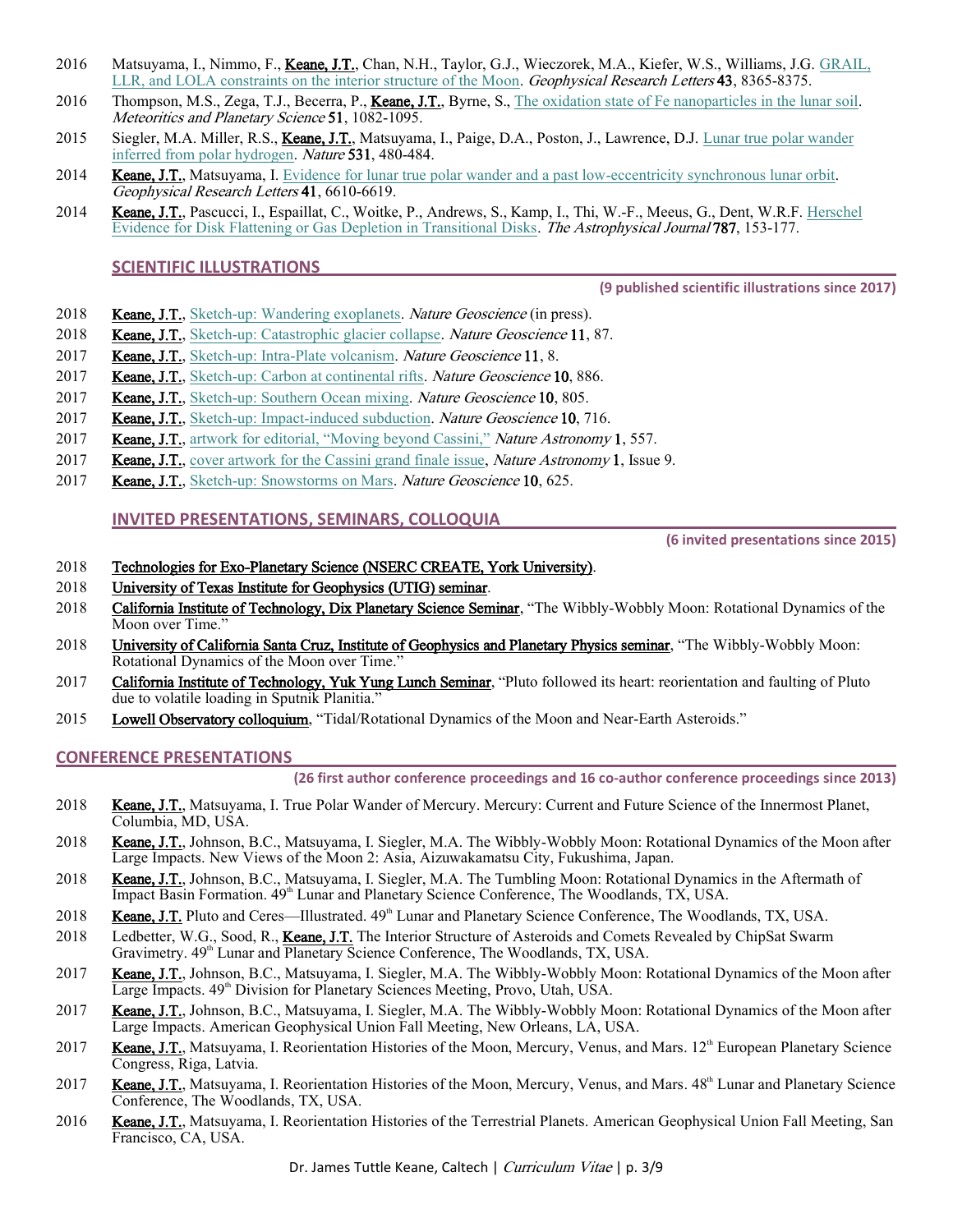- 2016 Matsuyama, I., Nimmo, F., Keane, J.T., Chan, N.H., Taylor, G.J., Wieczorek, M.A., Kiefer, W.S., Williams, J.G. GRAIL, [LLR, and LOLA constraints on the interior structure of the Moon.](http://rdcu.be/xMI2/) Geophysical Research Letters 43, 8365-8375.
- 2016 Thompson, M.S., Zega, T.J., Becerra, P., Keane, J.T., Byrne, S.[, The oxidation state of Fe nanoparticles in the lunar soil.](http://dx.doi.org/10.1111/maps.12646) Meteoritics and Planetary Science 51, 1082-1095.
- 2015 Siegler, M.A. Miller, R.S., *Keane, J.T.*, Matsuyama, I., Paige, D.A., Poston, J., Lawrence, D.J. *Lunar true polar wander* [inferred from polar hydrogen.](http://dx.doi.org/10.1038/nature17166) Nature 531, 480-484.
- 2014 Keane, J.T., Matsuyama, I[. Evidence for lunar true polar wander and a past low-eccentricity synchronous lunar orbit.](http://rdcu.be/xMJg/) Geophysical Research Letters 41, 6610-6619.
- 2014 Keane, J.T., Pascucci, I., Espaillat, C., Woitke, P., Andrews, S., Kamp, I., Thi, W.-F., Meeus, G., Dent, W.R.F. Herschel [Evidence for Disk Flattening or Gas Depletion in Transitional Disks.](http://iopscience.iop.org/article/10.1088/0004-637X/787/2/153/meta) The Astrophysical Journal 787, 153-177.

#### **SCIENTIFIC ILLUSTRATIONS**

**(9 published scientific illustrations since 2017)**

- 2018 Keane, J.T.[, Sketch-up: Wandering exoplanets.](http://rdcu.be/HQpd) Nature Geoscience (in press).
- 2018 Keane, J.T.[, Sketch-up: Catastrophic glacier collapse.](http://rdcu.be/FhY8) Nature Geoscience 11, 87.
- 2017 **Keane, J.T.**[, Sketch-up: Intra-Plate volcanism.](http://rdcu.be/Coz7) Nature Geoscience 11, 8.
- 2017 Keane, J.T.[, Sketch-up: Carbon at continental rifts.](http://rdcu.be/yruW) Nature Geoscience 10, 886.
- 2017 Keane, J.T.[, Sketch-up: Southern Ocean](http://rdcu.be/xVyJ) mixing. Nature Geoscience 10, 805.
- 2017 **Keane, J.T.**[, Sketch-up: Impact-induced subduction.](http://rdcu.be/xMJk) *Nature Geoscience* 10, 716.
- 2017 **Keane, J.T.**, artwork for [editorial, "Moving beyond Cassini,"](http://rdcu.be/xMJt) Nature Astronomy 1, 557.
- 2017 **Keane, J.T.**, cover artwork [for the Cassini grand finale issue,](https://www.nature.com/natastron/volumes/1/issues/9) *Nature Astronomy* 1, Issue 9.
- 2017 Keane, J.T.[, Sketch-up: Snowstorms on Mars.](http://rdcu.be/xMJq) Nature Geoscience 10, 625.

#### **INVITED PRESENTATIONS, SEMINARS, COLLOQUIA**

**(6 invited presentations since 2015)**

# 2018 Technologies for Exo-Planetary Science (NSERC CREATE, York University).

- 2018 University of Texas Institute for Geophysics (UTIG) seminar.
- 2018 California Institute of Technology, Dix Planetary Science Seminar, "The Wibbly-Wobbly Moon: Rotational Dynamics of the Moon over Time.'
- 2018 University of California Santa Cruz, Institute of Geophysics and Planetary Physics seminar, "The Wibbly-Wobbly Moon: Rotational Dynamics of the Moon over Time."
- 2017 California Institute of Technology, Yuk Yung Lunch Seminar, "Pluto followed its heart: reorientation and faulting of Pluto due to volatile loading in Sputnik Planitia."
- 2015 Lowell Observatory colloquium, "Tidal/Rotational Dynamics of the Moon and Near-Earth Asteroids."

#### **CONFERENCE PRESENTATIONS**

**(26 first author conference proceedings and 16 co-author conference proceedings since 2013)**

- 2018 Keane, J.T., Matsuyama, I. True Polar Wander of Mercury. Mercury: Current and Future Science of the Innermost Planet, Columbia, MD, USA.
- 2018 Keane, J.T., Johnson, B.C., Matsuyama, I. Siegler, M.A. The Wibbly-Wobbly Moon: Rotational Dynamics of the Moon after Large Impacts. New Views of the Moon 2: Asia, Aizuwakamatsu City, Fukushima, Japan.
- 2018 Keane, J.T., Johnson, B.C., Matsuyama, I. Siegler, M.A. The Tumbling Moon: Rotational Dynamics in the Aftermath of Impact Basin Formation.  $49^{\text{th}}$  Lunar and Planetary Science Conference, The Woodlands, TX, USA.
- 2018 **Keane, J.T.** Pluto and Ceres—Illustrated.  $49<sup>th</sup>$  Lunar and Planetary Science Conference, The Woodlands, TX, USA.
- 2018 Ledbetter, W.G., Sood, R., Keane, J.T. The Interior Structure of Asteroids and Comets Revealed by ChipSat Swarm Gravimetry.  $49^{th}$  Lunar and Planetary Science Conference, The Woodlands, TX, USA.
- 2017 Keane, J.T., Johnson, B.C., Matsuyama, I. Siegler, M.A. The Wibbly-Wobbly Moon: Rotational Dynamics of the Moon after Large Impacts. 49<sup>th</sup> Division for Planetary Sciences Meeting, Provo, Utah, USA.
- 2017 Keane, J.T., Johnson, B.C., Matsuyama, I. Siegler, M.A. The Wibbly-Wobbly Moon: Rotational Dynamics of the Moon after Large Impacts. American Geophysical Union Fall Meeting, New Orleans, LA, USA.
- 2017 Keane, J.T., Matsuyama, I. Reorientation Histories of the Moon, Mercury, Venus, and Mars. 12<sup>th</sup> European Planetary Science Congress, Riga, Latvia.
- 2017 Keane, J.T., Matsuyama, I. Reorientation Histories of the Moon, Mercury, Venus, and Mars. 48<sup>th</sup> Lunar and Planetary Science Conference, The Woodlands, TX, USA.
- 2016 Keane, J.T., Matsuyama, I. Reorientation Histories of the Terrestrial Planets. American Geophysical Union Fall Meeting, San Francisco, CA, USA.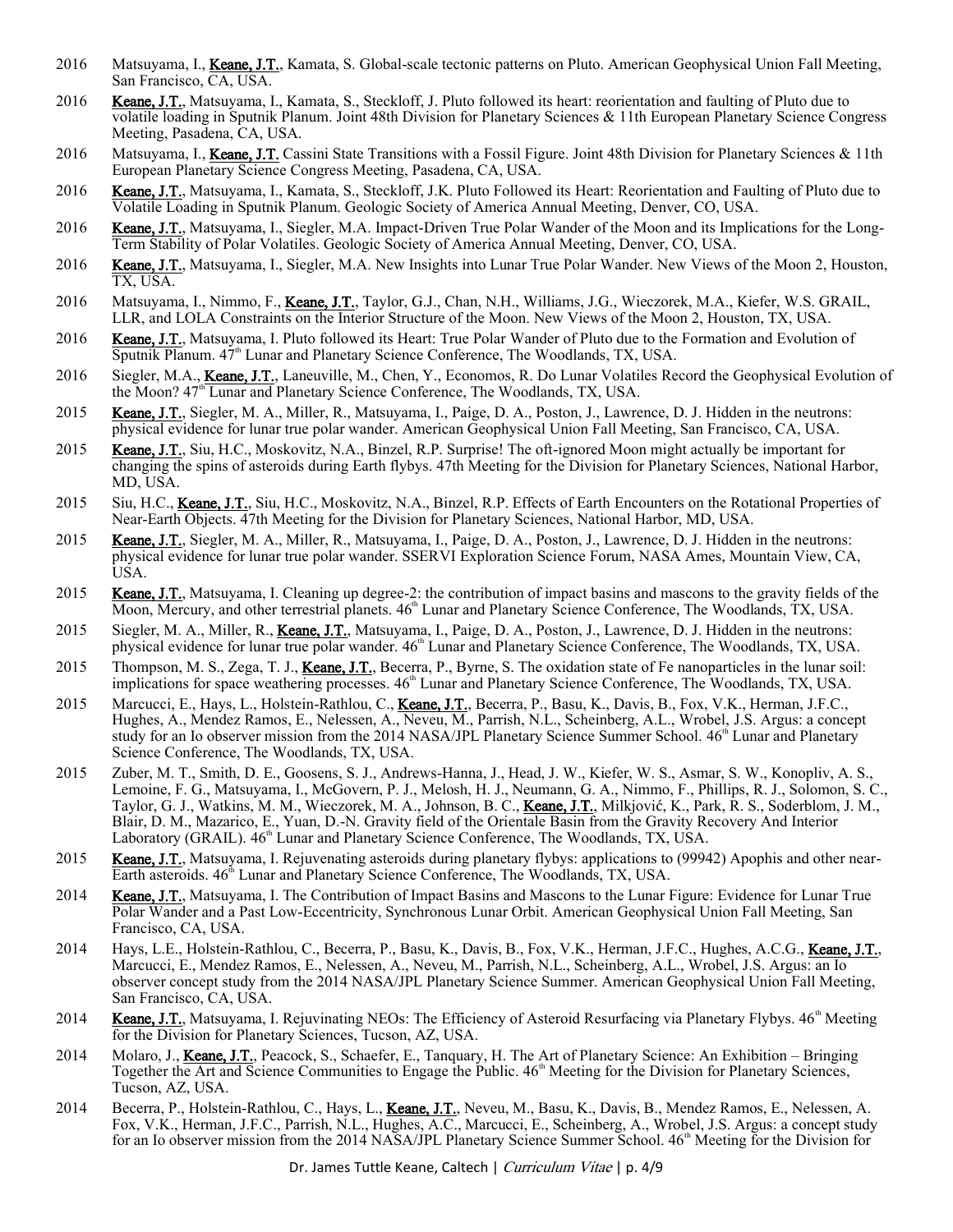- 2016 Matsuyama, I., Keane, J.T., Kamata, S. Global-scale tectonic patterns on Pluto. American Geophysical Union Fall Meeting, San Francisco, CA, USA.
- 2016 Keane, J.T., Matsuyama, I., Kamata, S., Steckloff, J. Pluto followed its heart: reorientation and faulting of Pluto due to volatile loading in Sputnik Planum. Joint 48th Division for Planetary Sciences & 11th European Planetary Science Congress Meeting, Pasadena, CA, USA.
- 2016 Matsuyama, I., Keane, J.T. Cassini State Transitions with a Fossil Figure. Joint 48th Division for Planetary Sciences & 11th European Planetary Science Congress Meeting, Pasadena, CA, USA.
- 2016 Keane, J.T., Matsuyama, I., Kamata, S., Steckloff, J.K. Pluto Followed its Heart: Reorientation and Faulting of Pluto due to Volatile Loading in Sputnik Planum. Geologic Society of America Annual Meeting, Denver, CO, USA.
- 2016 Keane, J.T., Matsuyama, I., Siegler, M.A. Impact-Driven True Polar Wander of the Moon and its Implications for the Long-Term Stability of Polar Volatiles. Geologic Society of America Annual Meeting, Denver, CO, USA.
- 2016 Keane, J.T., Matsuyama, I., Siegler, M.A. New Insights into Lunar True Polar Wander. New Views of the Moon 2, Houston, TX, USA.
- 2016 Matsuyama, I., Nimmo, F., Keane, J.T., Taylor, G.J., Chan, N.H., Williams, J.G., Wieczorek, M.A., Kiefer, W.S. GRAIL, LLR, and LOLA Constraints on the Interior Structure of the Moon. New Views of the Moon 2, Houston, TX, USA.
- 2016 Keane, J.T., Matsuyama, I. Pluto followed its Heart: True Polar Wander of Pluto due to the Formation and Evolution of Sputnik Planum.  $47<sup>th</sup>$  Lunar and Planetary Science Conference, The Woodlands, TX, USA.
- 2016 Siegler, M.A., Keane, J.T., Laneuville, M., Chen, Y., Economos, R. Do Lunar Volatiles Record the Geophysical Evolution of the Moon? 47<sup>th</sup> Lunar and Planetary Science Conference, The Woodlands, TX, USA.
- 2015 Keane, J.T., Siegler, M. A., Miller, R., Matsuyama, I., Paige, D. A., Poston, J., Lawrence, D. J. Hidden in the neutrons: physical evidence for lunar true polar wander. American Geophysical Union Fall Meeting, San Francisco, CA, USA.
- 2015 Keane, J.T., Siu, H.C., Moskovitz, N.A., Binzel, R.P. Surprise! The oft-ignored Moon might actually be important for changing the spins of asteroids during Earth flybys. 47th Meeting for the Division for Planetary Sciences, National Harbor, MD, USA.
- 2015 Siu, H.C., Keane, J.T., Siu, H.C., Moskovitz, N.A., Binzel, R.P. Effects of Earth Encounters on the Rotational Properties of Near-Earth Objects. 47th Meeting for the Division for Planetary Sciences, National Harbor, MD, USA.
- 2015 Keane, J.T., Siegler, M. A., Miller, R., Matsuyama, I., Paige, D. A., Poston, J., Lawrence, D. J. Hidden in the neutrons: physical evidence for lunar true polar wander. SSERVI Exploration Science Forum, NASA Ames, Mountain View, CA, USA.
- 2015 Keane, J.T., Matsuyama, I. Cleaning up degree-2: the contribution of impact basins and mascons to the gravity fields of the Moon, Mercury, and other terrestrial planets.  $46<sup>th</sup>$  Lunar and Planetary Science Conference, The Woodlands, TX, USA.
- 2015 Siegler, M. A., Miller, R., Keane, J.T., Matsuyama, I., Paige, D. A., Poston, J., Lawrence, D. J. Hidden in the neutrons: physical evidence for lunar true polar wander.  $46<sup>th</sup>$  Lunar and Planetary Science Conference, The Woodlands, TX, USA.
- 2015 Thompson, M. S., Zega, T. J., Keane, J.T., Becerra, P., Byrne, S. The oxidation state of Fe nanoparticles in the lunar soil: implications for space weathering processes.  $46<sup>th</sup>$  Lunar and Planetary Science Conference, The Woodlands, TX, USA.
- 2015 Marcucci, E., Hays, L., Holstein-Rathlou, C., Keane, J.T., Becerra, P., Basu, K., Davis, B., Fox, V.K., Herman, J.F.C., Hughes, A., Mendez Ramos, E., Nelessen, A., Neveu, M., Parrish, N.L., Scheinberg, A.L., Wrobel, J.S. Argus: a concept study for an Io observer mission from the 2014 NASA/JPL Planetary Science Summer School. 46<sup>th</sup> Lunar and Planetary Science Conference, The Woodlands, TX, USA.
- 2015 Zuber, M. T., Smith, D. E., Goosens, S. J., Andrews-Hanna, J., Head, J. W., Kiefer, W. S., Asmar, S. W., Konopliv, A. S., Lemoine, F. G., Matsuyama, I., McGovern, P. J., Melosh, H. J., Neumann, G. A., Nimmo, F., Phillips, R. J., Solomon, S. C., Taylor, G. J., Watkins, M. M., Wieczorek, M. A., Johnson, B. C., Keane, J.T., Milkjović, K., Park, R. S., Soderblom, J. M., Blair, D. M., Mazarico, E., Yuan, D.-N. Gravity field of the Orientale Basin from the Gravity Recovery And Interior Laboratory (GRAIL). 46<sup>th</sup> Lunar and Planetary Science Conference, The Woodlands, TX, USA.
- 2015 Keane, J.T., Matsuyama, I. Rejuvenating asteroids during planetary flybys: applications to (99942) Apophis and other near-Earth asteroids.  $46<sup>th</sup>$  Lunar and Planetary Science Conference, The Woodlands, TX, USA.
- 2014 Keane, J.T., Matsuyama, I. The Contribution of Impact Basins and Mascons to the Lunar Figure: Evidence for Lunar True Polar Wander and a Past Low-Eccentricity, Synchronous Lunar Orbit. American Geophysical Union Fall Meeting, San Francisco, CA, USA.
- 2014 Hays, L.E., Holstein-Rathlou, C., Becerra, P., Basu, K., Davis, B., Fox, V.K., Herman, J.F.C., Hughes, A.C.G., Keane, J.T., Marcucci, E., Mendez Ramos, E., Nelessen, A., Neveu, M., Parrish, N.L., Scheinberg, A.L., Wrobel, J.S. Argus: an Io observer concept study from the 2014 NASA/JPL Planetary Science Summer. American Geophysical Union Fall Meeting, San Francisco, CA, USA.
- 2014 Keane, J.T., Matsuyama, I. Rejuvinating NEOs: The Efficiency of Asteroid Resurfacing via Planetary Flybys. 46<sup>th</sup> Meeting for the Division for Planetary Sciences, Tucson, AZ, USA.
- 2014 Molaro, J., Keane, J.T., Peacock, S., Schaefer, E., Tanguary, H. The Art of Planetary Science: An Exhibition Bringing Together the Art and Science Communities to Engage the Public.  $46<sup>th</sup>$  Meeting for the Division for Planetary Sciences, Tucson, AZ, USA.
- 2014 Becerra, P., Holstein-Rathlou, C., Hays, L., Keane, J.T., Neveu, M., Basu, K., Davis, B., Mendez Ramos, E., Nelessen, A. Fox, V.K., Herman, J.F.C., Parrish, N.L., Hughes, A.C., Marcucci, E., Scheinberg, A., Wrobel, J.S. Argus: a concept study for an Io observer mission from the 2014 NASA/JPL Planetary Science Summer School.  $46<sup>th</sup>$  Meeting for the Division for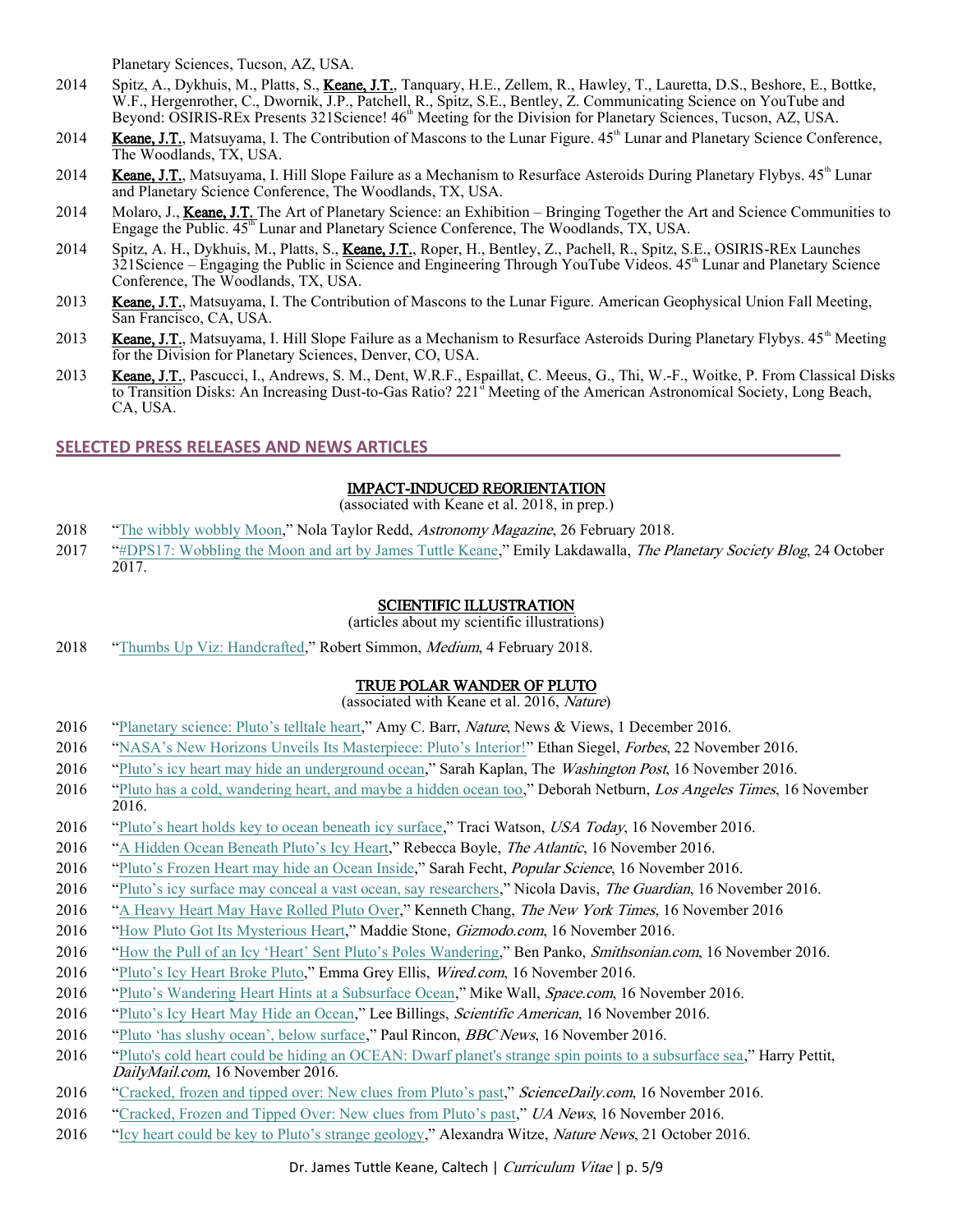Planetary Sciences, Tucson, AZ, USA.

- 2014 Spitz, A., Dykhuis, M., Platts, S., Keane, J.T., Tanquary, H.E., Zellem, R., Hawley, T., Lauretta, D.S., Beshore, E., Bottke, W.F., Hergenrother, C., Dwornik, J.P., Patchell, R., Spitz, S.E., Bentley, Z. Communicating Science on YouTube and Beyond: OSIRIS-REx Presents 321Science! 46<sup>th</sup> Meeting for the Division for Planetary Sciences, Tucson, AZ, USA.
- 2014 Keane, J.T., Matsuyama, I. The Contribution of Mascons to the Lunar Figure. 45<sup>th</sup> Lunar and Planetary Science Conference, The Woodlands, TX, USA.
- 2014 **Keane, J.T.**, Matsuyama, I. Hill Slope Failure as a Mechanism to Resurface Asteroids During Planetary Flybys.  $45<sup>th</sup>$  Lunar and Planetary Science Conference, The Woodlands, TX, USA.
- 2014 Molaro, J., Keane, J.T. The Art of Planetary Science: an Exhibition Bringing Together the Art and Science Communities to Engage the Public.  $45<sup>th</sup>$  Lunar and Planetary Science Conference, The Woodlands, TX, USA.
- 2014 Spitz, A. H., Dykhuis, M., Platts, S., Keane, J.T., Roper, H., Bentley, Z., Pachell, R., Spitz, S.E., OSIRIS-REx Launches  $321$ Science – Engaging the Public in Science and Engineering Through YouTube Videos.  $45<sup>th</sup>$  Lunar and Planetary Science Conference, The Woodlands, TX, USA.
- 2013 Keane, J.T., Matsuyama, I. The Contribution of Mascons to the Lunar Figure. American Geophysical Union Fall Meeting, San Francisco, CA, USA.
- 2013 Keane, J.T., Matsuyama, I. Hill Slope Failure as a Mechanism to Resurface Asteroids During Planetary Flybys. 45<sup>th</sup> Meeting for the Division for Planetary Sciences, Denver, CO, USA.
- 2013 Keane, J.T., Pascucci, I., Andrews, S. M., Dent, W.R.F., Espaillat, C. Meeus, G., Thi, W.-F., Woitke, P. From Classical Disks to Transition Disks: An Increasing Dust-to-Gas Ratio? 221<sup>st</sup> Meeting of the American Astronomical Society, Long Beach, CA, USA.

# **SELECTED PRESS RELEASES AND NEWS ARTICLES**

# IMPACT-INDUCED REORIENTATION

(associated with Keane et al. 2018, in prep.)

- 2018 "[The wibbly wobbly Moon](http://astronomy.com/news/2018/02/the-wibbly-wobbly-moon)," Nola Taylor Redd, Astronomy Magazine, 26 February 2018.
- 2017 "[#DPS17: Wobbling the Moon and art by James Tuttle Keane](http://www.planetary.org/blogs/emily-lakdawalla/2017/1024-dps17-wobbling-the-moon-keane.html)," Emily Lakdawalla, The Planetary Society Blog, 24 October  $2017.$

#### SCIENTIFIC ILLUSTRATION

(articles about my scientific illustrations)

2018 "[Thumbs Up Viz: Handcrafted](https://medium.com/@robsimmon/thumbs-up-viz-handcrafted-b1da422192de)," Robert Simmon, Medium, 4 February 2018.

# TRUE POLAR WANDER OF PLUTO

(associated with Keane et al. 2016, Nature)

- 2016 ["Planetary science: Pluto's telltale heart,](http://www.nature.com/nature/journal/v540/n7631/full/540042a.html)" Amy C. Barr, Nature, News & Views, 1 December 2016.
- 2016 ["NASA's New Horizons Unveils Its Masterpiece: Pluto's Interior!"](http://www.forbes.com/sites/startswithabang/2016/11/22/nasas-new-horizons-unveils-its-masterpiece-plutos-interior/) Ethan Siegel, Forbes, 22 November 2016.
- 2016 ["Pluto's icy heart may hide an underground ocean,](https://www.washingtonpost.com/news/speaking-of-science/wp/2016/11/16/plutos-icy-heart-may-hide-an-underground-ocean/)" Sarah Kaplan, The Washington Post, 16 November 2016.
- 2016 "[Pluto has a cold, wandering heart, and maybe a hidden ocean too](http://www.latimes.com/science/sciencenow/la-sci-sn-pluto-heart-ocean-20161116-story.html)," Deborah Netburn, Los Angeles Times, 16 November 2016.
- 2016 ["Pluto's heart holds key to ocean beneath icy surface,](http://www.usatoday.com/story/news/2016/11/16/plutos-heart-holds-key-ocean-beneath-icy-surface/93955784/)" Traci Watson, USA Today, 16 November 2016.
- 2016 ["A Hidden Ocean Beneath Pluto's Icy Heart,](http://www.theatlantic.com/science/archive/2016/11/a-hidden-ocean-beneath-plutos-icy-heart/507944/?utm_source=atltw)" Rebecca Boyle, The Atlantic, 16 November 2016.
- 2016 "Pluto's Froz[en Heart may hide an Ocean Inside](http://www.popsci.com/plutos-heavy-heart-may-have-tipped-entire-world?src=SOC&dom=tw)," Sarah Fecht, *Popular Science*, 16 November 2016.
- 2016 "Pluto's icy surface may c[onceal a vast ocean, say researchers](https://www.theguardian.com/science/2016/nov/16/plutos-icy-surface-may-conceal-a-vast-ocean-say-researchers-sputnik-planitia)," Nicola Davis, The Guardian, 16 November 2016.
- 2016 "[A Heavy Heart May Have Rolled Pluto Over](http://www.nytimes.com/2016/11/17/science/pluto-heart.html?smid=tw-nytimesscience&smtyp=cur&_r=0)," Kenneth Chang, The New York Times, 16 November 2016
- 2016 "[How Pluto Got Its Mysterious Heart](http://gizmodo.com/how-pluto-got-its-heart-1789026504)," Maddie Stone, Gizmodo.com, 16 November 2016.
- 2016 ["How the Pull of an Icy 'Heart' Sent Pluto's Poles Wandering,](http://www.smithsonianmag.com/science-nature/plutos-icy-heart-poles-wandered-180961111/?no-ist)" Ben Panko, Smithsonian.com, 16 November 2016.
- 2016 ["Pluto's Icy Heart Broke Pluto,"](https://www.wired.com/2016/11/plutos-icy-heart-broke-pluto/) Emma Grey Ellis, Wired.com, 16 November 2016.
- 2016 ["Pluto's Wandering Heart Hints at a Subsurface Ocean,](http://www.space.com/34737-pluto-wandering-heart-subsurface-ocean.html?utm_source=Twitter&utm_medium=Twitter&utm_campaign=socialtwitterspc&cmpid=social_spc_514648#?utm_source=twitter&utm_medium=social&utm_campaign=2016twitterdlvrit)" Mike Wall, Space.com, 16 November 2016.
- 2016 ["Pluto's Icy Heart May Hide an Ocean,](https://www.scientificamerican.com/article/pluto-s-icy-heart-may-hide-an-ocean/?WT.mc_id=SA_TW_SPC_NEWS)" Lee Billings, *Scientific American*, 16 November 2016.
- 2016 "Pl[uto 'has slushy ocean', below surface,](http://www.bbc.com/news/science-environment-38005104)" Paul Rincon, *BBC News*, 16 November 2016.
- 2016 "Pluto's cold [heart could be hiding an OCEAN: Dwarf planet's strange spin points to a subsurface sea](http://www.dailymail.co.uk/sciencetech/article-3942462/Pluto-cold-heart-hiding-OCEAN-Dwarf-planet-s-strange-spint-points-subsurface-sea.html)," Harry Pettit, DailyMail.com, 16 November 2016.
- 2016 "[Cracked, frozen and tipped over: N](https://www.sciencedaily.com/releases/2016/11/161116140553.htm)ew clues from Pluto's past," ScienceDaily.com, 16 November 2016.
- 2016 ["Cracked, Frozen and Tipped Over: New clues from Pluto's past,](https://uanews.arizona.edu/story/cracked-frozen-and-tipped-over-new-clues-plutos-past)" UA News, 16 November 2016.
- 2016 ["Icy heart could be key to Pluto's strange geology,](http://www.nature.com/news/icy-heart-could-be-key-to-pluto-s-strange-geology-1.20856)" Alexandra Witze, Nature News, 21 October 2016.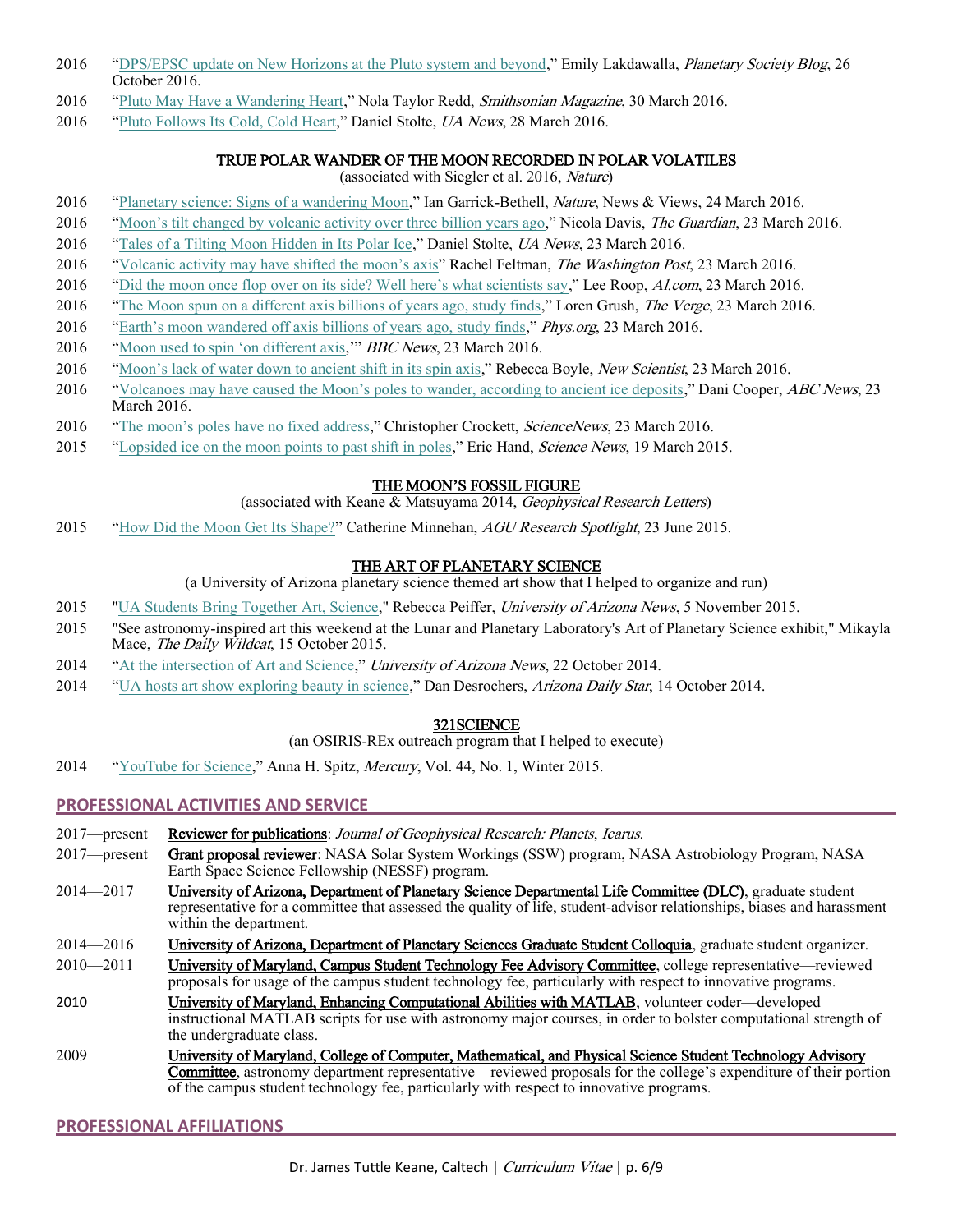- 2016 "[DPS/EPSC update on New Horizons at the Pluto system and beyond](http://www.planetary.org/blogs/emily-lakdawalla/2016/10251718-dpsepsc-new-horizons-pluto.html)," Emily Lakdawalla, *Planetary Society Blog*, 26 October 2016.
- 2016 "[Pluto May Have a Wandering Heart](http://www.smithsonianmag.com/science-nature/pluto-may-have-wandering-heart-180958609/)," Nola Taylor Redd, Smithsonian Magazine, 30 March 2016.
- 2016 "[Pluto Follows Its Cold, Cold Heart](https://uanews.arizona.edu/story/pluto-follows-its-cold-cold-heart)," Daniel Stolte, UA News, 28 March 2016.

# TRUE POLAR WANDER OF THE MOON RECORDED IN POLAR VOLATILES

(associated with Siegler et al. 2016, Nature)

- 2016 "[Planetary science: Signs of a wandering Moon](http://www.nature.com/nature/journal/v531/n7595/full/531455a.html)," Ian Garrick-Bethell, *Nature*, News & Views, 24 March 2016.
- 2016 "Moon's tilt changed by [volcanic activity over three billion years ago](https://www.theguardian.com/science/2016/mar/23/moons-tilt-changed-by-volcanic-activity-over-three-billion-years-ago)," Nicola Davis, The Guardian, 23 March 2016.
- 2016 "[Tales of a Tilting Moon Hidden in Its Polar Ice](https://uanews.arizona.edu/story/tales-tilting-moon-hidden-its-polar-ice)," Daniel Stolte, UA News, 23 March 2016.
- 2016 ["Volcanic activity may have shifted the moon's axis"](https://www.washingtonpost.com/news/speaking-of-science/wp/2016/03/23/volcanic-activity-may-have-shifted-the-moons-axis/) Rachel Feltman, The Washington Post, 23 March 2016.
- 2016 ["Did the moon once flop over on its side? Well here's what scientists say,](http://www.al.com/news/huntsville/index.ssf/2016/03/scientists_say_the_moon_floppe.html)" Lee Roop, Al.com, 23 March 2016.
- 2016 "[The Moon spun on a different axis billions of years ago, study finds](http://www.theverge.com/2016/3/23/11292140/moon-axis-shifted-volcanoes-ice-nature)," Loren Grush, The Verge, 23 March 2016.
- 2016 ["Earth's moon wandered off axis billions of years ago, study finds,](http://phys.org/news/2016-03-earth-moon-axis-billions-years.html)" Phys.org, 23 March 2016.
- 2016 "Moon used [to spin 'on different axis,](http://www.bbc.com/news/science-environment-35883576)" BBC News, 23 March 2016.
- 2016 ["Moon's lack of water down to ancient shift in its spin axis,](https://www.newscientist.com/article/2082113-moons-lack-of-water-down-to-ancient-shift-in-its-spin-axis/)" Rebecca Boyle, New Scientist, 23 March 2016.
- 2016 ["Volcanoes may have caused the Moon's poles to wander, according to ancient ice deposits,](http://www.abc.net.au/news/2016-03-24/volcanoes-may-have-caused-the-moon)" Dani Cooper, *ABC News*, 23 March 2016.
- 2016 ["The moon's poles have no fixed address,](https://www.sciencenews.org/article/moons-poles-have-no-fixed-address)" Christopher Crockett, ScienceNews, 23 March 2016.
- 2015 "[Lopsided ice on the moon points to past shift in poles](http://www.sciencemag.org/news/2016/03/update-lopsided-ice-moon-points-past-shift-poles)," Eric Hand, *Science News*, 19 March 2015.

# THE MOON'S FOSSIL FIGURE

(associated with Keane & Matsuyama 2014, Geophysical Research Letters)

2015 "[How Did the Moon Get Its Shape?](https://eos.org/research-spotlights/how-did-the-moon-get-its-shape)" Catherine Minnehan, AGU Research Spotlight, 23 June 2015.

# THE ART OF PLANETARY SCIENCE

(a University of Arizona planetary science themed art show that I helped to organize and run)

- 2015 ["UA Students Bring Together Art, Science,"](https://uanews.arizona.edu/story/ua-students-bring-together-art-science-annual-exhibit) Rebecca Peiffer, University of Arizona News, 5 November 2015.
- 2015 "See astronomy-inspired art this weekend at the Lunar and Planetary Laboratory's Art of Planetary Science exhibit," Mikayla Mace, The Daily Wildcat, 15 October 2015.
- 2014 "[At the intersection of Art and Science](https://uanews.arizona.edu/videos/intersection-art-and-science)," University of Arizona News, 22 October 2014.
- 2014 "[UA hosts art show exploring beauty in science](http://tucson.com/news/local/education/college/ua-hosts-art-show-exploring-beauty-in-science/article_20e831cc-c90f-5f0c-9442-f4f0e983c348.html)," Dan Desrochers, Arizona Daily Star, 14 October 2014.

# 321SCIENCE

(an OSIRIS-REx outreach program that I helped to execute)

2014 "[YouTube for Science](https://www.astrosociety.org/institution/2015pdfs/Win15.pdf)," Anna H. Spitz, Mercury, Vol. 44, No. 1, Winter 2015.

# **PROFESSIONAL ACTIVITIES AND SERVICE**

- 2017—present Reviewer for publications: Journal of Geophysical Research: Planets, Icarus.
- 2017—present Grant proposal reviewer: NASA Solar System Workings (SSW) program, NASA Astrobiology Program, NASA Earth Space Science Fellowship (NESSF) program.
- 2014—2017 University of Arizona, Department of Planetary Science Departmental Life Committee (DLC), graduate student representative for a committee that assessed the quality of life, student-advisor relationships, biases and harassment within the department.
- 2014—2016 University of Arizona, Department of Planetary Sciences Graduate Student Colloquia, graduate student organizer.
- 2010—2011 University of Maryland, Campus Student Technology Fee Advisory Committee, college representative—reviewed proposals for usage of the campus student technology fee, particularly with respect to innovative programs.
- 2010 University of Maryland, Enhancing Computational Abilities with MATLAB, volunteer coder—developed instructional MATLAB scripts for use with astronomy major courses, in order to bolster computational strength of the undergraduate class.
- 2009 University of Maryland, College of Computer, Mathematical, and Physical Science Student Technology Advisory Committee, astronomy department representative—reviewed proposals for the college's expenditure of their portion of the campus student technology fee, particularly with respect to innovative programs.

# **PROFESSIONAL AFFILIATIONS**